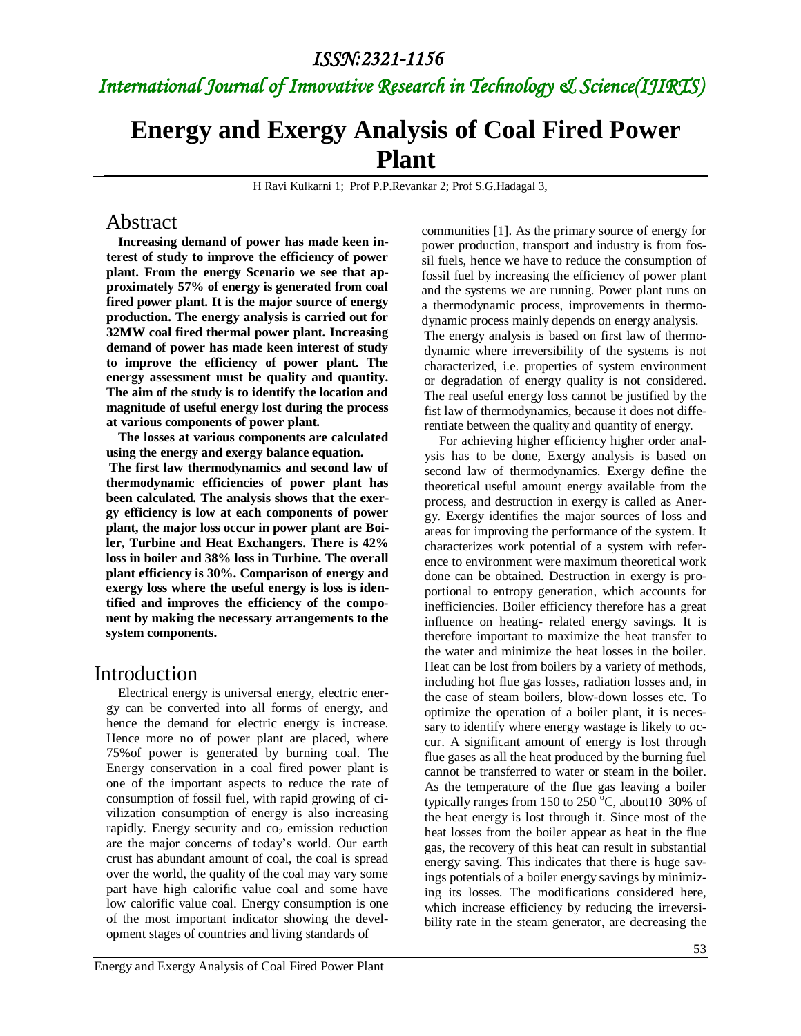## *International Journal of Innovative Research in Technology & Science(IJIRTS)*

## **Energy and Exergy Analysis of Coal Fired Power Plant**

H Ravi Kulkarni 1; Prof P.P.Revankar 2; Prof S.G.Hadagal 3,

### Abstract

**Increasing demand of power has made keen interest of study to improve the efficiency of power plant. From the energy Scenario we see that approximately 57% of energy is generated from coal fired power plant. It is the major source of energy production. The energy analysis is carried out for 32MW coal fired thermal power plant. Increasing demand of power has made keen interest of study to improve the efficiency of power plant. The energy assessment must be quality and quantity. The aim of the study is to identify the location and magnitude of useful energy lost during the process at various components of power plant.**

**The losses at various components are calculated using the energy and exergy balance equation.**

**The first law thermodynamics and second law of thermodynamic efficiencies of power plant has been calculated. The analysis shows that the exergy efficiency is low at each components of power plant, the major loss occur in power plant are Boiler, Turbine and Heat Exchangers. There is 42% loss in boiler and 38% loss in Turbine. The overall plant efficiency is 30%. Comparison of energy and exergy loss where the useful energy is loss is identified and improves the efficiency of the component by making the necessary arrangements to the system components.**

## Introduction

Electrical energy is universal energy, electric energy can be converted into all forms of energy, and hence the demand for electric energy is increase. Hence more no of power plant are placed, where 75%of power is generated by burning coal. The Energy conservation in a coal fired power plant is one of the important aspects to reduce the rate of consumption of fossil fuel, with rapid growing of civilization consumption of energy is also increasing rapidly. Energy security and  $\cos$  emission reduction are the major concerns of today's world. Our earth crust has abundant amount of coal, the coal is spread over the world, the quality of the coal may vary some part have high calorific value coal and some have low calorific value coal. Energy consumption is one of the most important indicator showing the development stages of countries and living standards of

communities [1]. As the primary source of energy for power production, transport and industry is from fossil fuels, hence we have to reduce the consumption of fossil fuel by increasing the efficiency of power plant and the systems we are running. Power plant runs on a thermodynamic process, improvements in thermodynamic process mainly depends on energy analysis.

The energy analysis is based on first law of thermodynamic where irreversibility of the systems is not characterized, i.e. properties of system environment or degradation of energy quality is not considered. The real useful energy loss cannot be justified by the fist law of thermodynamics, because it does not differentiate between the quality and quantity of energy.

For achieving higher efficiency higher order analysis has to be done, Exergy analysis is based on second law of thermodynamics. Exergy define the theoretical useful amount energy available from the process, and destruction in exergy is called as Anergy. Exergy identifies the major sources of loss and areas for improving the performance of the system. It characterizes work potential of a system with reference to environment were maximum theoretical work done can be obtained. Destruction in exergy is proportional to entropy generation, which accounts for inefficiencies. Boiler efficiency therefore has a great influence on heating- related energy savings. It is therefore important to maximize the heat transfer to the water and minimize the heat losses in the boiler. Heat can be lost from boilers by a variety of methods, including hot flue gas losses, radiation losses and, in the case of steam boilers, blow-down losses etc. To optimize the operation of a boiler plant, it is necessary to identify where energy wastage is likely to occur. A significant amount of energy is lost through flue gases as all the heat produced by the burning fuel cannot be transferred to water or steam in the boiler. As the temperature of the flue gas leaving a boiler typically ranges from 150 to 250  $^{\circ}$ C, about10–30% of the heat energy is lost through it. Since most of the heat losses from the boiler appear as heat in the flue gas, the recovery of this heat can result in substantial energy saving. This indicates that there is huge savings potentials of a boiler energy savings by minimizing its losses. The modifications considered here, which increase efficiency by reducing the irreversibility rate in the steam generator, are decreasing the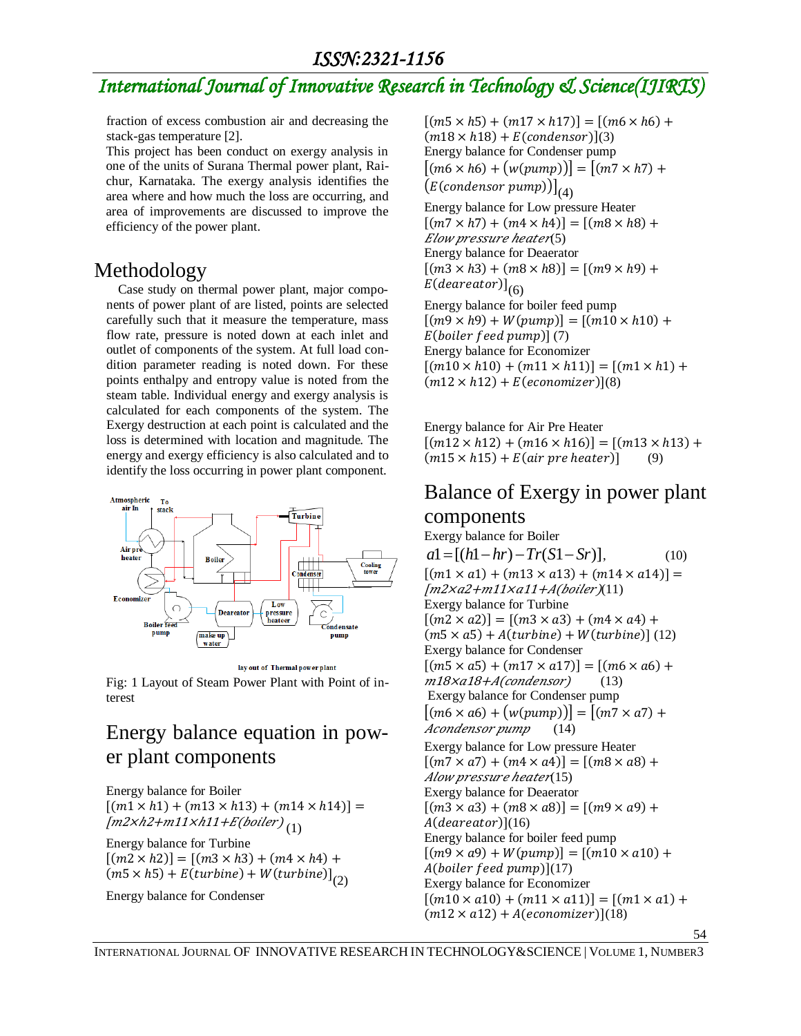#### *ISSN:2321-1156*

## *International Journal of Innovative Research in Technology & Science(IJIRTS)*

fraction of excess combustion air and decreasing the stack-gas temperature [2].

This project has been conduct on exergy analysis in one of the units of Surana Thermal power plant, Raichur, Karnataka. The exergy analysis identifies the area where and how much the loss are occurring, and area of improvements are discussed to improve the efficiency of the power plant.

## Methodology

Case study on thermal power plant, major components of power plant of are listed, points are selected carefully such that it measure the temperature, mass flow rate, pressure is noted down at each inlet and outlet of components of the system. At full load condition parameter reading is noted down. For these points enthalpy and entropy value is noted from the steam table. Individual energy and exergy analysis is calculated for each components of the system. The Exergy destruction at each point is calculated and the loss is determined with location and magnitude. The energy and exergy efficiency is also calculated and to identify the loss occurring in power plant component.



Fig: 1 Layout of Steam Power Plant with Point of interest

## Energy balance equation in power plant components

Energy balance for Boiler  $[(m1 \times h1) + (m13 \times h13) + (m14 \times h14)] =$ [m2×h2+m11×h11+E(boiler)  $_{(1)}$ 

Energy balance for Turbine  $[(m2 \times h2)] = [(m3 \times h3) + (m4 \times h4) +$  $(m5 \times h5) + E(turbine) + W(turbine)]_{(2)}$ 

Energy balance for Condenser

 $[(m5 \times h5) + (m17 \times h17)] = [(m6 \times h6) +$  $(m18 \times h18) + E(condensor)](3)$ Energy balance for Condenser pump  $[(m6 \times h6) + (w(pump))] = [(m7 \times h7) +$  $\bigl( E (condensor \; pump) \bigr) \bigl|_{(4)}$ 

Energy balance for Low pressure Heater  $[(m7 \times h7) + (m4 \times h4)] = [(m8 \times h8) +$  $Elow$  pressure heater(5) Energy balance for Deaerator  $[(m3 \times h3) + (m8 \times h8)] = [(m9 \times h9) +$ E(deareator)] $_{(6)}$ 

Energy balance for boiler feed pump  $[(m9 \times h9) + W(pump)] = [(m10 \times h10) +$  $E(boller$  feed pump $(7)$ Energy balance for Economizer  $[(m10 \times h10) + (m11 \times h11)] = [(m1 \times h1) +$  $(m12 \times h12) + E(economizer)$ [8]

Energy balance for Air Pre Heater  $[(m12 \times h12) + (m16 \times h16)] = [(m13 \times h13) +$  $(m15 \times h15) + E(air \text{ pre heater})$  (9)

# Balance of Exergy in power plant

## components

Exergy balance for Boiler  $a1 = [(h1 - hr) - Tr(S1 - Sr)],$  (10)  $[(m1 \times a1) + (m13 \times a13) + (m14 \times a14)] =$  $[m2xa2+m11xa11+A(boiler)(11)]$ Exergy balance for Turbine  $[(m2 \times a2)] = [(m3 \times a3) + (m4 \times a4) +$  $(m5 \times a5) + A(turbine) + W(turbine)]$  (12) Exergy balance for Condenser  $[(m5 \times a5) + (m17 \times a17)] = [(m6 \times a6) +$  $m18\times a18+A$ (condensor) (13) Exergy balance for Condenser pump  $[(m6 \times a6) + (w(pump))] = [(m7 \times a7) +$ Acondensor pump (14) Exergy balance for Low pressure Heater  $[(m7 \times a7) + (m4 \times a4)] = [(m8 \times a8) +$ Alow pressure heater(15) Exergy balance for Deaerator  $[(m3 \times a3) + (m8 \times a8)] = [(m9 \times a9) +$  $A(deareator)](16)$ Energy balance for boiler feed pump  $[(m9 \times a9) + W(pump)] = [(m10 \times a10) +$  $A(boller feed pump)](17)$ Exergy balance for Economizer  $[(m10 \times a10) + (m11 \times a11)] = [(m1 \times a1) +$  $(m12 \times a12) + A(economizer)$ [(18)

54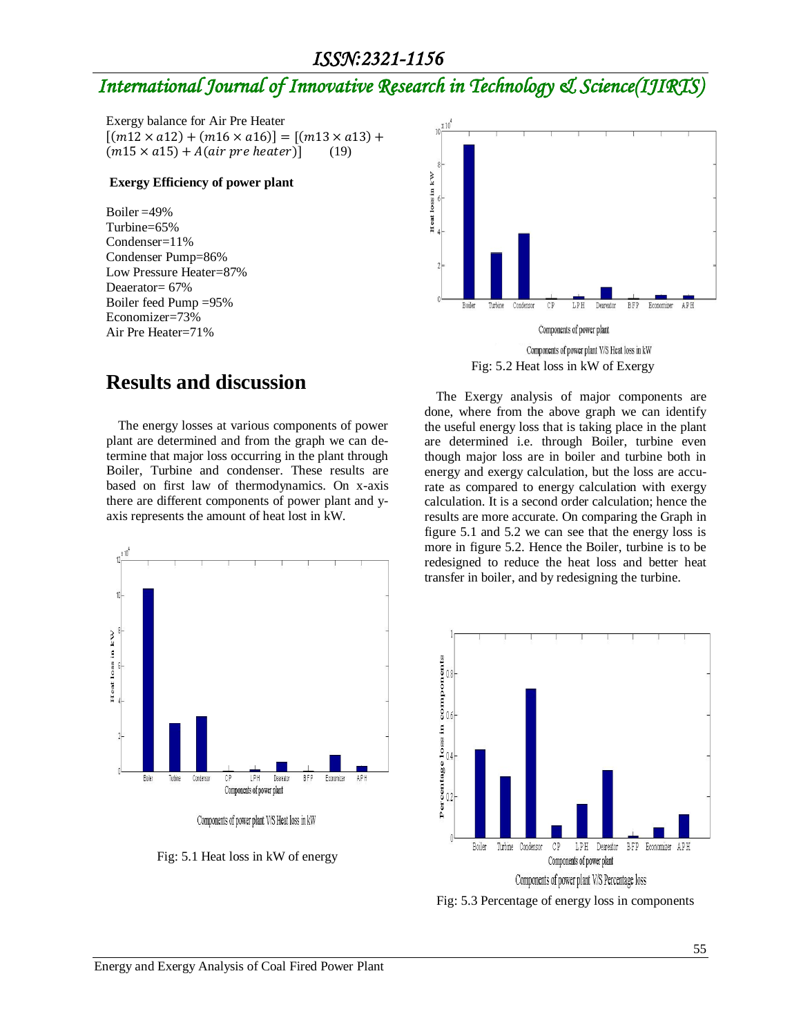#### *ISSN:2321-1156*

## *International Journal of Innovative Research in Technology & Science(IJIRTS)*

Exergy balance for Air Pre Heater  $[(m12 \times a12) + (m16 \times a16)] = [(m13 \times a13) +$  $(m15 \times a15) + A(air \ pre \ heater)]$  (19)

#### **Exergy Efficiency of power plant**

Boiler =49% Turbine=65% Condenser=11% Condenser Pump=86% Low Pressure Heater=87% Deaerator= 67% Boiler feed Pump =95% Economizer=73% Air Pre Heater=71%



Fig: 5.2 Heat loss in kW of Exergy

### **Results and discussion**

The energy losses at various components of power plant are determined and from the graph we can determine that major loss occurring in the plant through Boiler, Turbine and condenser. These results are based on first law of thermodynamics. On x-axis there are different components of power plant and yaxis represents the amount of heat lost in kW.



Fig: 5.1 Heat loss in kW of energy

The Exergy analysis of major components are done, where from the above graph we can identify the useful energy loss that is taking place in the plant are determined i.e. through Boiler, turbine even though major loss are in boiler and turbine both in energy and exergy calculation, but the loss are accurate as compared to energy calculation with exergy calculation. It is a second order calculation; hence the results are more accurate. On comparing the Graph in figure 5.1 and 5.2 we can see that the energy loss is more in figure 5.2. Hence the Boiler, turbine is to be redesigned to reduce the heat loss and better heat transfer in boiler, and by redesigning the turbine.



Fig: 5.3 Percentage of energy loss in components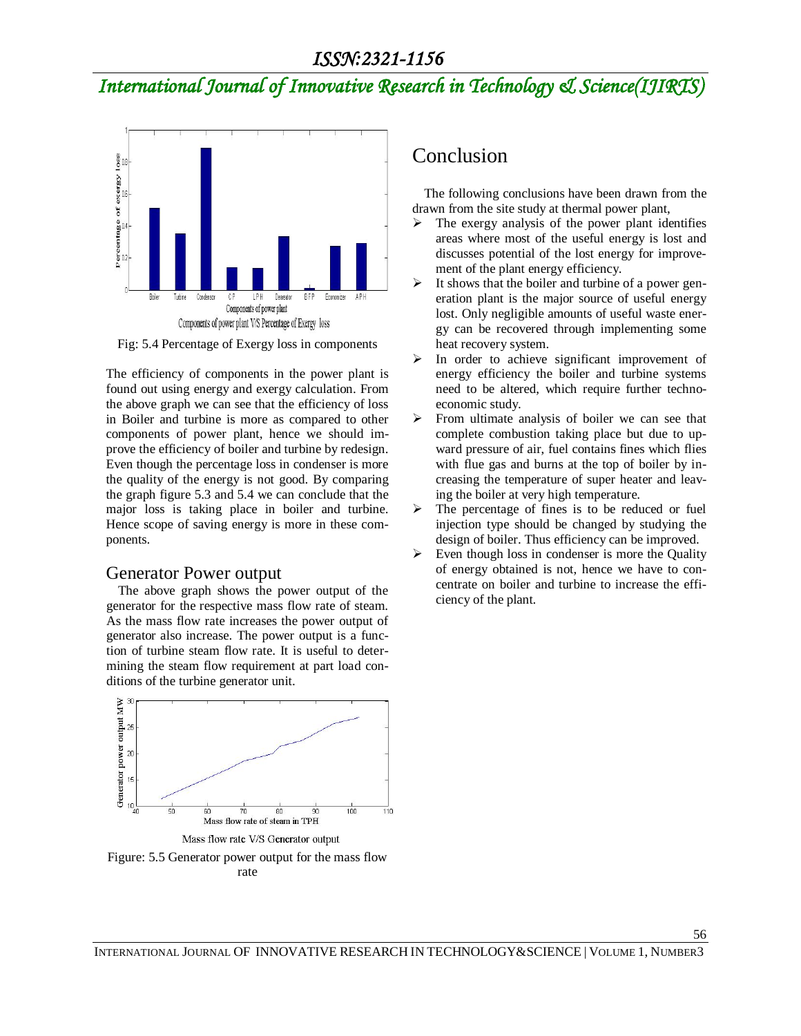## *International Journal of Innovative Research in Technology & Science(IJIRTS)*



Fig: 5.4 Percentage of Exergy loss in components

The efficiency of components in the power plant is found out using energy and exergy calculation. From the above graph we can see that the efficiency of loss in Boiler and turbine is more as compared to other components of power plant, hence we should improve the efficiency of boiler and turbine by redesign. Even though the percentage loss in condenser is more the quality of the energy is not good. By comparing the graph figure 5.3 and 5.4 we can conclude that the major loss is taking place in boiler and turbine. Hence scope of saving energy is more in these components.

#### Generator Power output

The above graph shows the power output of the generator for the respective mass flow rate of steam. As the mass flow rate increases the power output of generator also increase. The power output is a function of turbine steam flow rate. It is useful to determining the steam flow requirement at part load conditions of the turbine generator unit.



rate

## Conclusion

The following conclusions have been drawn from the drawn from the site study at thermal power plant,

- $\triangleright$  The exergy analysis of the power plant identifies areas where most of the useful energy is lost and discusses potential of the lost energy for improvement of the plant energy efficiency.
- $\triangleright$  It shows that the boiler and turbine of a power generation plant is the major source of useful energy lost. Only negligible amounts of useful waste energy can be recovered through implementing some heat recovery system.
- In order to achieve significant improvement of energy efficiency the boiler and turbine systems need to be altered, which require further technoeconomic study.
- $\triangleright$  From ultimate analysis of boiler we can see that complete combustion taking place but due to upward pressure of air, fuel contains fines which flies with flue gas and burns at the top of boiler by increasing the temperature of super heater and leaving the boiler at very high temperature.
- $\triangleright$  The percentage of fines is to be reduced or fuel injection type should be changed by studying the design of boiler. Thus efficiency can be improved.
- $\triangleright$  Even though loss in condenser is more the Quality of energy obtained is not, hence we have to concentrate on boiler and turbine to increase the efficiency of the plant.

56